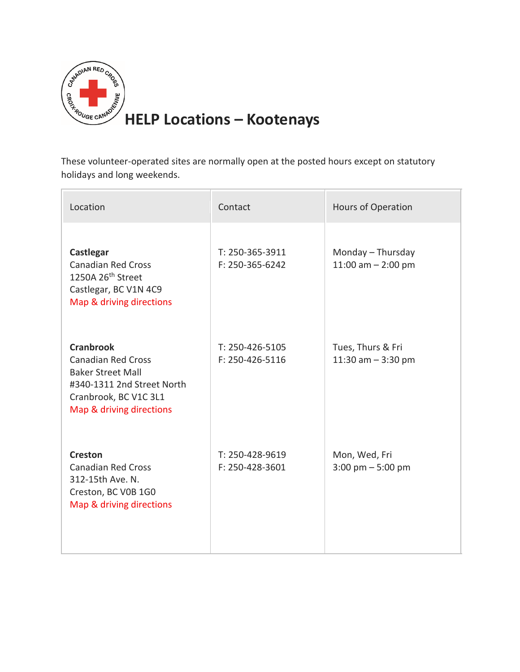

These volunteer-operated sites are normally open at the posted hours except on statutory holidays and long weekends.

| Location                                                                                                                                                     | Contact                            | Hours of Operation                                   |
|--------------------------------------------------------------------------------------------------------------------------------------------------------------|------------------------------------|------------------------------------------------------|
| Castlegar<br><b>Canadian Red Cross</b><br>1250A 26 <sup>th</sup> Street<br>Castlegar, BC V1N 4C9<br>Map & driving directions                                 | T: 250-365-3911<br>F: 250-365-6242 | Monday - Thursday<br>11:00 am $- 2:00$ pm            |
| <b>Cranbrook</b><br><b>Canadian Red Cross</b><br><b>Baker Street Mall</b><br>#340-1311 2nd Street North<br>Cranbrook, BC V1C 3L1<br>Map & driving directions | T: 250-426-5105<br>F: 250-426-5116 | Tues, Thurs & Fri<br>11:30 am $-$ 3:30 pm            |
| <b>Creston</b><br><b>Canadian Red Cross</b><br>312-15th Ave. N.<br>Creston, BC V0B 1G0<br>Map & driving directions                                           | T: 250-428-9619<br>F: 250-428-3601 | Mon, Wed, Fri<br>$3:00 \text{ pm} - 5:00 \text{ pm}$ |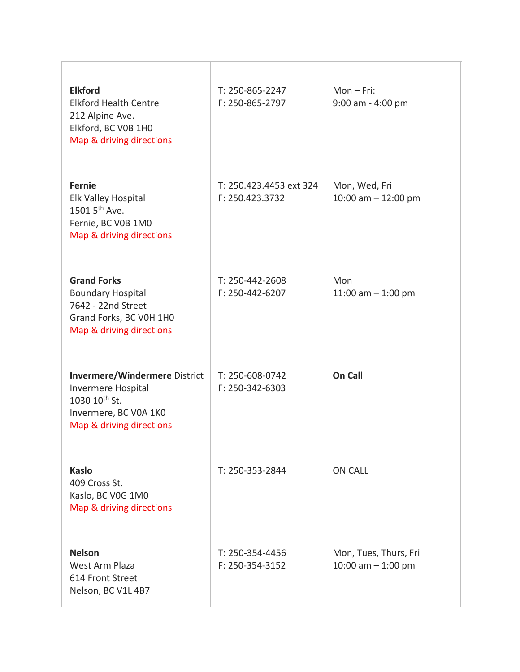| <b>Elkford</b><br><b>Elkford Health Centre</b><br>212 Alpine Ave.<br>Elkford, BC V0B 1H0<br>Map & driving directions                         | T: 250-865-2247<br>F: 250-865-2797         | $Mon-Fri:$<br>$9:00$ am - 4:00 pm             |
|----------------------------------------------------------------------------------------------------------------------------------------------|--------------------------------------------|-----------------------------------------------|
| <b>Fernie</b><br>Elk Valley Hospital<br>1501 5 <sup>th</sup> Ave.<br>Fernie, BC V0B 1M0<br>Map & driving directions                          | T: 250.423.4453 ext 324<br>F: 250.423.3732 | Mon, Wed, Fri<br>10:00 am $-$ 12:00 pm        |
| <b>Grand Forks</b><br><b>Boundary Hospital</b><br>7642 - 22nd Street<br>Grand Forks, BC V0H 1H0<br>Map & driving directions                  | T: 250-442-2608<br>F: 250-442-6207         | Mon<br>11:00 am $-$ 1:00 pm                   |
| <b>Invermere/Windermere District</b><br>Invermere Hospital<br>1030 10 <sup>th</sup> St.<br>Invermere, BC V0A 1K0<br>Map & driving directions | T: 250-608-0742<br>F: 250-342-6303         | <b>On Call</b>                                |
| <b>Kaslo</b><br>409 Cross St.<br>Kaslo, BC V0G 1M0<br>Map & driving directions                                                               | T: 250-353-2844                            | <b>ON CALL</b>                                |
| <b>Nelson</b><br>West Arm Plaza<br>614 Front Street<br>Nelson, BC V1L 4B7                                                                    | T: 250-354-4456<br>F: 250-354-3152         | Mon, Tues, Thurs, Fri<br>10:00 am $-$ 1:00 pm |